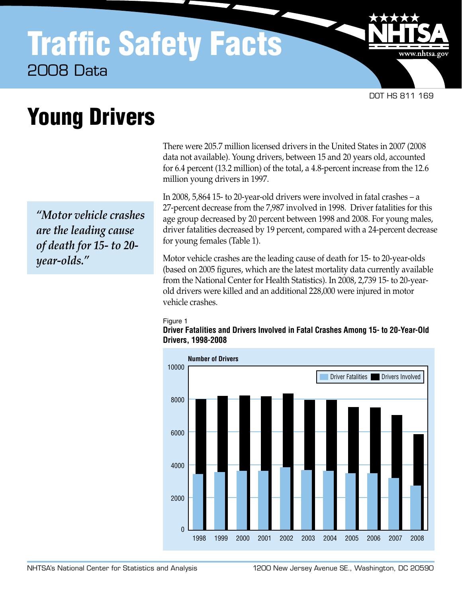## Traffic Safety Facts 2008 Data

DOT HS 811 169

www.nhtsa.gov

# Young Drivers

*"Motor vehicle crashes are the leading cause of death for 15- to 20 year-olds."*

There were 205.7 million licensed drivers in the United States in 2007 (2008 data not available). Young drivers, between 15 and 20 years old, accounted for 6.4 percent (13.2 million) of the total, a 4.8-percent increase from the 12.6 million young drivers in 1997.

In 2008, 5,864 15- to 20-year-old drivers were involved in fatal crashes – a 27-percent decrease from the 7,987 involved in 1998. Driver fatalities for this age group decreased by 20 percent between 1998 and 2008. For young males, driver fatalities decreased by 19 percent, compared with a 24-percent decrease for young females (Table 1).

Motor vehicle crashes are the leading cause of death for 15- to 20-year-olds (based on 2005 figures, which are the latest mortality data currently available from the National Center for Health Statistics). In 2008, 2,739 15- to 20-yearold drivers were killed and an additional 228,000 were injured in motor vehicle crashes.

#### Figure 1

**Driver Fatalities and Drivers Involved in Fatal Crashes Among 15- to 20-Year-Old Drivers, 1998-2008**

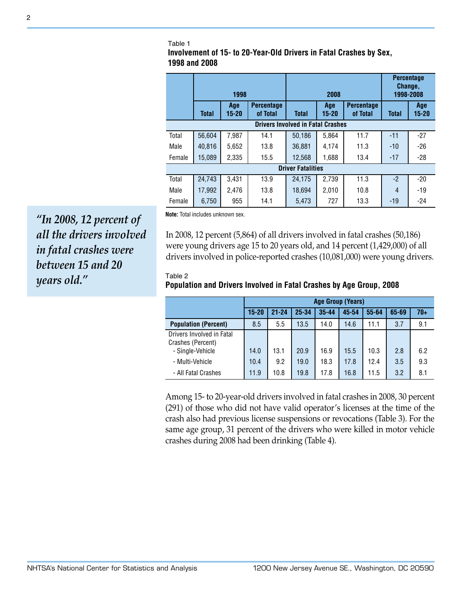#### Table 1

**Involvement of 15- to 20-Year-Old Drivers in Fatal Crashes by Sex, 1998 and 2008**

|                                          | 1998         |                  |                               |              | 2008             | <b>Percentage</b><br>Change,<br>1998-2008 |              |              |  |  |
|------------------------------------------|--------------|------------------|-------------------------------|--------------|------------------|-------------------------------------------|--------------|--------------|--|--|
|                                          | <b>Total</b> | Age<br>$15 - 20$ | <b>Percentage</b><br>of Total | <b>Total</b> | Age<br>$15 - 20$ | <b>Percentage</b><br>of Total             | <b>Total</b> | Age<br>15-20 |  |  |
| <b>Drivers Involved in Fatal Crashes</b> |              |                  |                               |              |                  |                                           |              |              |  |  |
| Total                                    | 56,604       | 7,987            | 14.1                          | 50.186       | 5,864            | 11.7                                      | $-11$        | $-27$        |  |  |
| Male                                     | 40.816       | 5.652            | 13.8                          | 36.881       | 4.174            | 11.3                                      | $-10$        | $-26$        |  |  |
| Female                                   | 15,089       | 2,335            | 15.5                          | 12,568       | 1,688            | 13.4                                      | $-17$        | $-28$        |  |  |
| <b>Driver Fatalities</b>                 |              |                  |                               |              |                  |                                           |              |              |  |  |
| Total                                    | 24,743       | 3,431            | 13.9                          | 24,175       | 2,739            | 11.3                                      | $-2$         | $-20$        |  |  |
| Male                                     | 17,992       | 2,476            | 13.8                          | 18.694       | 2.010            | 10.8                                      | 4            | $-19$        |  |  |
| Female                                   | 6,750        | 955              | 14.1                          | 5,473        | 727              | 13.3                                      | $-19$        | $-24$        |  |  |

**Note:** Total includes unknown sex.

In 2008, 12 percent (5,864) of all drivers involved in fatal crashes (50,186) were young drivers age 15 to 20 years old, and 14 percent (1,429,000) of all drivers involved in police-reported crashes (10,081,000) were young drivers.

### Table 2 **Population and Drivers Involved in Fatal Crashes by Age Group, 2008**

|                                                | <b>Age Group (Years)</b> |           |           |           |       |           |       |       |
|------------------------------------------------|--------------------------|-----------|-----------|-----------|-------|-----------|-------|-------|
|                                                | $15 - 20$                | $21 - 24$ | $25 - 34$ | $35 - 44$ | 45-54 | $55 - 64$ | 65-69 | $70+$ |
| <b>Population (Percent)</b>                    | 8.5                      | 5.5       | 13.5      | 14.0      | 14.6  | 11.1      | 3.7   | 9.1   |
| Drivers Involved in Fatal<br>Crashes (Percent) |                          |           |           |           |       |           |       |       |
| - Single-Vehicle                               | 14.0                     | 13.1      | 20.9      | 16.9      | 15.5  | 10.3      | 2.8   | 6.2   |
| - Multi-Vehicle                                | 10.4                     | 9.2       | 19.0      | 18.3      | 17.8  | 12.4      | 3.5   | 9.3   |
| - All Fatal Crashes                            | 11.9                     | 10.8      | 19.8      | 17.8      | 16.8  | 11.5      | 3.2   | 8.1   |

Among 15- to 20-year-old drivers involved in fatal crashes in 2008, 30 percent (291) of those who did not have valid operator's licenses at the time of the crash also had previous license suspensions or revocations (Table 3). For the same age group, 31 percent of the drivers who were killed in motor vehicle crashes during 2008 had been drinking (Table 4).

*"In 2008, 12 percent of all the drivers involved in fatal crashes were between 15 and 20 years old."*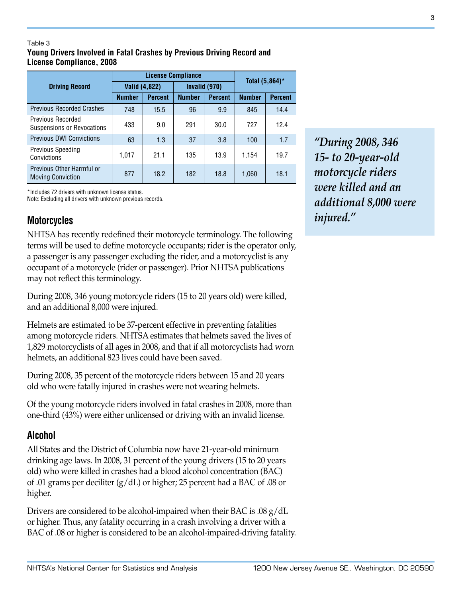### Table **Young Drivers Involved in Fatal Crashes by Previous Driving Record and License Compliance, 2008**

|                                                       |               | <b>License Compliance</b> | Total (5,864)* |                |               |                |
|-------------------------------------------------------|---------------|---------------------------|----------------|----------------|---------------|----------------|
| <b>Driving Record</b>                                 | Valid (4,822) |                           |                | Invalid (970)  |               |                |
|                                                       | <b>Number</b> | <b>Percent</b>            | <b>Number</b>  | <b>Percent</b> | <b>Number</b> | <b>Percent</b> |
| <b>Previous Recorded Crashes</b>                      | 748           | 15.5                      | 96             | 9.9            | 845           | 14.4           |
| Previous Recorded<br>Suspensions or Revocations       | 433           | 9.0                       | 291            | 30.0           | 727           | 12.4           |
| <b>Previous DWI Convictions</b>                       | 63            | 1.3                       | 37             | 3.8            | 100           | 1.7            |
| <b>Previous Speeding</b><br>Convictions               | 1,017         | 21.1                      | 135            | 13.9           | 1,154         | 19.7           |
| Previous Other Harmful or<br><b>Moving Conviction</b> | 877           | 18.2                      | 182            | 18.8           | 1,060         | 18.1           |

\*Includes 72 drivers with unknown license status. Note: Excluding all drivers with unknown previous records.

## **Motorcycles**

NHTSA has recently redefined their motorcycle terminology. The following terms will be used to define motorcycle occupants; rider is the operator only, a passenger is any passenger excluding the rider, and a motorcyclist is any occupant of a motorcycle (rider or passenger). Prior NHTSA publications may not reflect this terminology.

During 2008, 346 young motorcycle riders (15 to 20 years old) were killed, and an additional 8,000 were injured.

Helmets are estimated to be 37-percent effective in preventing fatalities among motorcycle riders. NHTSA estimates that helmets saved the lives of 1,829 motorcyclists of all ages in 2008, and that if all motorcyclists had worn helmets, an additional 823 lives could have been saved.

During 2008, 35 percent of the motorcycle riders between 15 and 20 years old who were fatally injured in crashes were not wearing helmets.

Of the young motorcycle riders involved in fatal crashes in 2008, more than one-third (43%) were either unlicensed or driving with an invalid license.

## **Alcohol**

All States and the District of Columbia now have 21-year-old minimum drinking age laws. In 2008, 31 percent of the young drivers (15 to 20 years old) who were killed in crashes had a blood alcohol concentration (BAC) of .01 grams per deciliter (g/dL) or higher; 25 percent had a BAC of .08 or higher.

Drivers are considered to be alcohol-impaired when their BAC is .08 g/dL or higher. Thus, any fatality occurring in a crash involving a driver with a BAC of .08 or higher is considered to be an alcohol-impaired-driving fatality.

*"During 2008, 346 15- to 20-year-old motorcycle riders were killed and an additional 8,000 were injured."*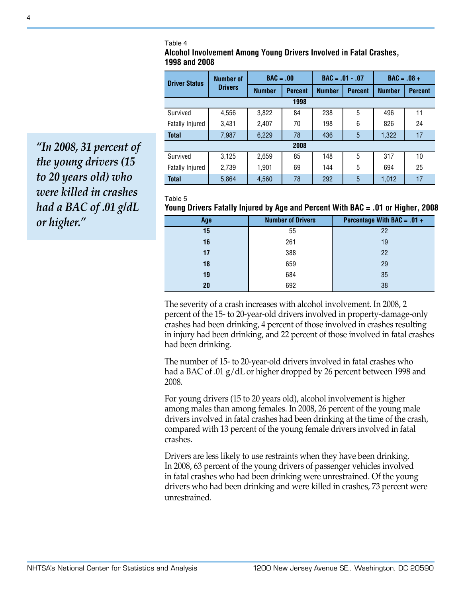Table 4

**Alcohol Involvement Among Young Drivers Involved in Fatal Crashes, 1998 and 2008**

| <b>Driver Status</b>   | <b>Number of</b> | $BAC = .00$   |                | $BAC = .01 - .07$ |                | $BAC = .08 +$ |                |  |  |
|------------------------|------------------|---------------|----------------|-------------------|----------------|---------------|----------------|--|--|
|                        | <b>Drivers</b>   | <b>Number</b> | <b>Percent</b> | <b>Number</b>     | <b>Percent</b> | <b>Number</b> | <b>Percent</b> |  |  |
| 1998                   |                  |               |                |                   |                |               |                |  |  |
| Survived               | 4,556            | 3,822         | 84             | 238               | 5              | 496           | 11             |  |  |
| <b>Fatally Injured</b> | 3,431            | 2,407         | 70             | 198               | 6              | 826           | 24             |  |  |
| <b>Total</b>           | 7,987            | 6,229         | 78             | 436               | 5              | 1,322         | 17             |  |  |
| 2008                   |                  |               |                |                   |                |               |                |  |  |
| Survived               | 3,125            | 2,659         | 85             | 148               | 5              | 317           | 10             |  |  |
| <b>Fatally Injured</b> | 2,739            | 1,901         | 69             | 144               | 5              | 694           | 25             |  |  |
| <b>Total</b>           | 5,864            | 4,560         | 78             | 292               | 5              | 1,012         | 17             |  |  |

Table 5

**Young Drivers Fatally Injured by Age and Percent With BAC = .01 or Higher, 2008**

| Age | <b>Number of Drivers</b> | Percentage With BAC = $.01 +$ |
|-----|--------------------------|-------------------------------|
| 15  | 55                       | 22                            |
| 16  | 261                      | 19                            |
| 17  | 388                      | 22                            |
| 18  | 659                      | 29                            |
| 19  | 684                      | 35                            |
| 20  | 692                      | 38                            |

The severity of a crash increases with alcohol involvement. In 2008, 2 percent of the 15- to 20-year-old drivers involved in property-damage-only crashes had been drinking, 4 percent of those involved in crashes resulting in injury had been drinking, and 22 percent of those involved in fatal crashes had been drinking.

The number of 15- to 20-year-old drivers involved in fatal crashes who had a BAC of .01 g/dL or higher dropped by 26 percent between 1998 and 2008.

For young drivers (15 to 20 years old), alcohol involvement is higher among males than among females. In 2008, 26 percent of the young male drivers involved in fatal crashes had been drinking at the time of the crash, compared with 13 percent of the young female drivers involved in fatal crashes.

Drivers are less likely to use restraints when they have been drinking. In 2008, 63 percent of the young drivers of passenger vehicles involved in fatal crashes who had been drinking were unrestrained. Of the young drivers who had been drinking and were killed in crashes, 73 percent were unrestrained.

*"In 2008, 31 percent of the young drivers (15 to 20 years old) who were killed in crashes had a BAC of .01 g/dL or higher."*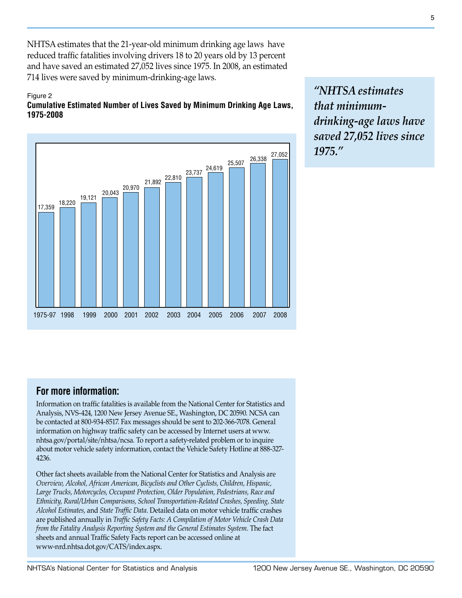NHTSA estimates that the 21-year-old minimum drinking age laws have reduced traffic fatalities involving drivers 18 to 20 years old by 13 percent and have saved an estimated 27,052 lives since 1975. In 2008, an estimated 714 lives were saved by minimum-drinking-age laws.

#### Figure 2

### **Cumulative Estimated Number of Lives Saved by Minimum Drinking Age Laws, 1975-2008**



*"NHTSA estimates that minimumdrinking-age laws have saved 27,052 lives since 1975."*

## **For more information:**

Information on traffic fatalities is available from the National Center for Statistics and Analysis, NVS-424, 1200 New Jersey Avenue SE., Washington, DC 20590. NCSA can be contacted at 800-934-8517. Fax messages should be sent to 202-366-7078. General information on highway traffic safety can be accessed by Internet users at www. nhtsa.gov/portal/site/nhtsa/ncsa. To report a safety-related problem or to inquire about motor vehicle safety information, contact the Vehicle Safety Hotline at 888-327- 4236.

Other fact sheets available from the National Center for Statistics and Analysis are *Overview, Alcohol, African American, Bicyclists and Other Cyclists, Children, Hispanic, Large Trucks, Motorcycles, Occupant Protection, Older Population, Pedestrians, Race and Ethnicity, Rural/Urban Comparisons, School Transportation-Related Crashes, Speeding, State Alcohol Estimates,* and *State Traffic Data*. Detailed data on motor vehicle traffic crashes are published annually in *Traffic Safety Facts: A Compilation of Motor Vehicle Crash Data from the Fatality Analysis Reporting System and the General Estimates System*. The fact sheets and annual Traffic Safety Facts report can be accessed online at www-nrd.nhtsa.dot.gov/CATS/index.aspx.